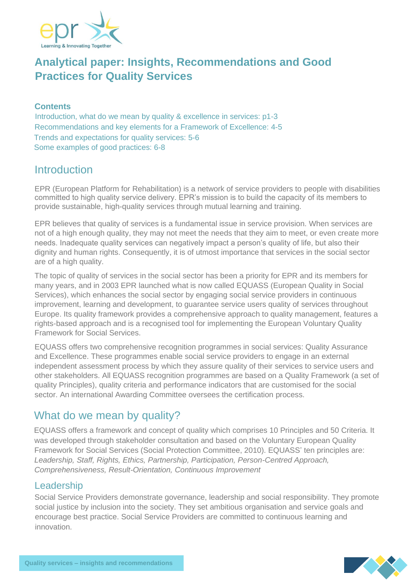

# **Analytical paper: Insights, Recommendations and Good Practices for Quality Services**

#### **Contents**

Introduction, what do we mean by quality & excellence in services: p1-3 Recommendations and key elements for a Framework of Excellence: 4-5 Trends and expectations for quality services: 5-6 Some examples of good practices: 6-8

## **Introduction**

EPR (European Platform for Rehabilitation) is a network of service providers to people with disabilities committed to high quality service delivery. EPR's mission is to build the capacity of its members to provide sustainable, high-quality services through mutual learning and training.

EPR believes that quality of services is a fundamental issue in service provision. When services are not of a high enough quality, they may not meet the needs that they aim to meet, or even create more needs. Inadequate quality services can negatively impact a person's quality of life, but also their dignity and human rights. Consequently, it is of utmost importance that services in the social sector are of a high quality.

The topic of quality of services in the social sector has been a priority for EPR and its members for many years, and in 2003 EPR launched what is now called EQUASS (European Quality in Social Services), which enhances the social sector by engaging social service providers in continuous improvement, learning and development, to guarantee service users quality of services throughout Europe. Its quality framework provides a comprehensive approach to quality management, features a rights-based approach and is a recognised tool for implementing the European Voluntary Quality Framework for Social Services.

EQUASS offers two comprehensive recognition programmes in social services: Quality Assurance and Excellence. These programmes enable social service providers to engage in an external independent assessment process by which they assure quality of their services to service users and other stakeholders. All EQUASS recognition programmes are based on a Quality Framework (a set of quality Principles), quality criteria and performance indicators that are customised for the social sector. An international Awarding Committee oversees the certification process.

## What do we mean by quality?

EQUASS offers a framework and concept of quality which comprises 10 Principles and 50 Criteria. It was developed through stakeholder consultation and based on the Voluntary European Quality Framework for Social Services (Social Protection Committee, 2010). EQUASS' ten principles are: *Leadership, Staff, Rights, Ethics, Partnership, Participation, Person-Centred Approach, Comprehensiveness, Result-Orientation, Continuous Improvement*

### Leadership

Social Service Providers demonstrate governance, leadership and social responsibility. They promote social justice by inclusion into the society. They set ambitious organisation and service goals and encourage best practice. Social Service Providers are committed to continuous learning and innovation.

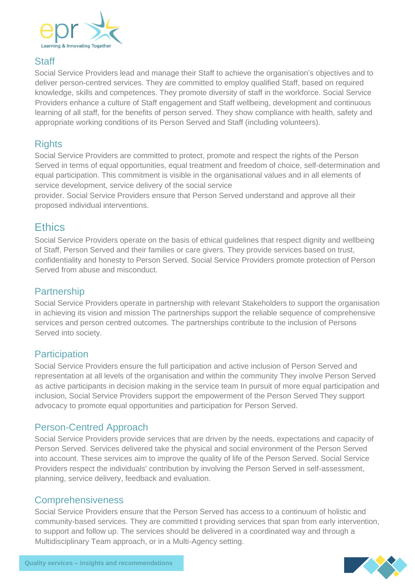

### **Staff**

Social Service Providers lead and manage their Staff to achieve the organisation's objectives and to deliver person-centred services. They are committed to employ qualified Staff, based on required knowledge, skills and competences. They promote diversity of staff in the workforce. Social Service Providers enhance a culture of Staff engagement and Staff wellbeing, development and continuous learning of all staff, for the benefits of person served. They show compliance with health, safety and appropriate working conditions of its Person Served and Staff (including volunteers).

### **Rights**

Social Service Providers are committed to protect, promote and respect the rights of the Person Served in terms of equal opportunities, equal treatment and freedom of choice, self-determination and equal participation. This commitment is visible in the organisational values and in all elements of service development, service delivery of the social service

provider. Social Service Providers ensure that Person Served understand and approve all their proposed individual interventions.

## **Ethics**

Social Service Providers operate on the basis of ethical guidelines that respect dignity and wellbeing of Staff, Person Served and their families or care givers. They provide services based on trust, confidentiality and honesty to Person Served. Social Service Providers promote protection of Person Served from abuse and misconduct.

### **Partnership**

Social Service Providers operate in partnership with relevant Stakeholders to support the organisation in achieving its vision and mission The partnerships support the reliable sequence of comprehensive services and person centred outcomes. The partnerships contribute to the inclusion of Persons Served into society.

### **Participation**

Social Service Providers ensure the full participation and active inclusion of Person Served and representation at all levels of the organisation and within the community They involve Person Served as active participants in decision making in the service team In pursuit of more equal participation and inclusion, Social Service Providers support the empowerment of the Person Served They support advocacy to promote equal opportunities and participation for Person Served.

### Person-Centred Approach

Social Service Providers provide services that are driven by the needs, expectations and capacity of Person Served. Services delivered take the physical and social environment of the Person Served into account. These services aim to improve the quality of life of the Person Served. Social Service Providers respect the individuals' contribution by involving the Person Served in self-assessment, planning, service delivery, feedback and evaluation.

### **Comprehensiveness**

Social Service Providers ensure that the Person Served has access to a continuum of holistic and community-based services. They are committed t providing services that span from early intervention, to support and follow up. The services should be delivered in a coordinated way and through a Multidisciplinary Team approach, or in a Multi-Agency setting.

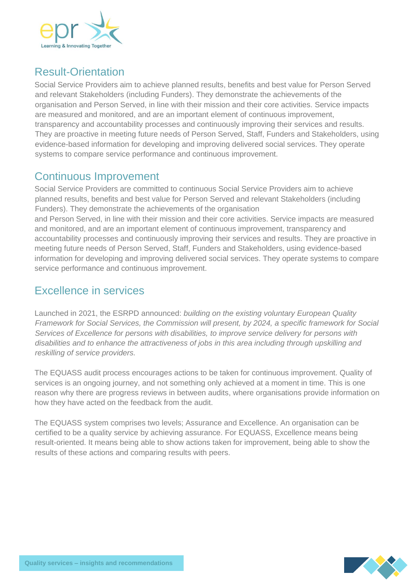

# Result-Orientation

Social Service Providers aim to achieve planned results, benefits and best value for Person Served and relevant Stakeholders (including Funders). They demonstrate the achievements of the organisation and Person Served, in line with their mission and their core activities. Service impacts are measured and monitored, and are an important element of continuous improvement, transparency and accountability processes and continuously improving their services and results. They are proactive in meeting future needs of Person Served, Staff, Funders and Stakeholders, using evidence-based information for developing and improving delivered social services. They operate systems to compare service performance and continuous improvement.

## Continuous Improvement

Social Service Providers are committed to continuous Social Service Providers aim to achieve planned results, benefits and best value for Person Served and relevant Stakeholders (including Funders). They demonstrate the achievements of the organisation and Person Served, in line with their mission and their core activities. Service impacts are measured and monitored, and are an important element of continuous improvement, transparency and accountability processes and continuously improving their services and results. They are proactive in meeting future needs of Person Served, Staff, Funders and Stakeholders, using evidence-based information for developing and improving delivered social services. They operate systems to compare service performance and continuous improvement.

# Excellence in services

Launched in 2021, the ESRPD announced: *building on the existing voluntary European Quality Framework for Social Services, the Commission will present, by 2024, a specific framework for Social Services of Excellence for persons with disabilities, to improve service delivery for persons with disabilities and to enhance the attractiveness of jobs in this area including through upskilling and reskilling of service providers.*

The EQUASS audit process encourages actions to be taken for continuous improvement. Quality of services is an ongoing journey, and not something only achieved at a moment in time. This is one reason why there are progress reviews in between audits, where organisations provide information on how they have acted on the feedback from the audit.

The EQUASS system comprises two levels; Assurance and Excellence. An organisation can be certified to be a quality service by achieving assurance. For EQUASS, Excellence means being result-oriented. It means being able to show actions taken for improvement, being able to show the results of these actions and comparing results with peers.

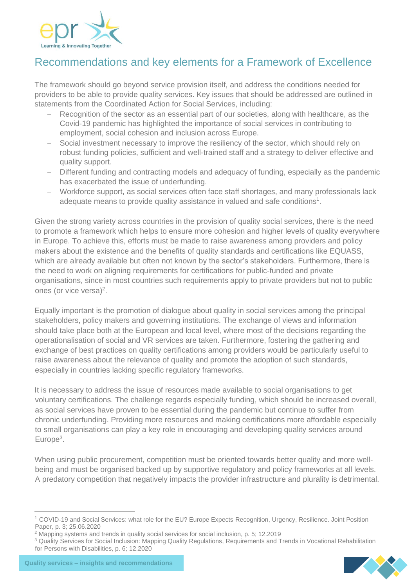

# Recommendations and key elements for a Framework of Excellence

The framework should go beyond service provision itself, and address the conditions needed for providers to be able to provide quality services. Key issues that should be addressed are outlined in statements from the Coordinated Action for Social Services, including:

- Recognition of the sector as an essential part of our societies, along with healthcare, as the Covid-19 pandemic has highlighted the importance of social services in contributing to employment, social cohesion and inclusion across Europe.
- Social investment necessary to improve the resiliency of the sector, which should rely on robust funding policies, sufficient and well-trained staff and a strategy to deliver effective and quality support.
- − Different funding and contracting models and adequacy of funding, especially as the pandemic has exacerbated the issue of underfunding.
- − Workforce support, as social services often face staff shortages, and many professionals lack adequate means to provide quality assistance in valued and safe conditions<sup>1</sup>.

Given the strong variety across countries in the provision of quality social services, there is the need to promote a framework which helps to ensure more cohesion and higher levels of quality everywhere in Europe. To achieve this, efforts must be made to raise awareness among providers and policy makers about the existence and the benefits of quality standards and certifications like EQUASS, which are already available but often not known by the sector's stakeholders. Furthermore, there is the need to work on aligning requirements for certifications for public-funded and private organisations, since in most countries such requirements apply to private providers but not to public ones (or vice versa)<sup>2</sup>.

Equally important is the promotion of dialogue about quality in social services among the principal stakeholders, policy makers and governing institutions. The exchange of views and information should take place both at the European and local level, where most of the decisions regarding the operationalisation of social and VR services are taken. Furthermore, fostering the gathering and exchange of best practices on quality certifications among providers would be particularly useful to raise awareness about the relevance of quality and promote the adoption of such standards, especially in countries lacking specific regulatory frameworks.

It is necessary to address the issue of resources made available to social organisations to get voluntary certifications. The challenge regards especially funding, which should be increased overall, as social services have proven to be essential during the pandemic but continue to suffer from chronic underfunding. Providing more resources and making certifications more affordable especially to small organisations can play a key role in encouraging and developing quality services around Europe<sup>3</sup>.

When using public procurement, competition must be oriented towards better quality and more wellbeing and must be organised backed up by supportive regulatory and policy frameworks at all levels. A predatory competition that negatively impacts the provider infrastructure and plurality is detrimental.

<sup>1</sup> COVID-19 and Social Services: what role for the EU? Europe Expects Recognition, Urgency, Resilience. Joint Position Paper, p. 3; 25.06.2020

<sup>2</sup> Mapping systems and trends in quality social services for social inclusion, p. 5; 12.2019

<sup>&</sup>lt;sup>3</sup> Quality Services for Social Inclusion: Mapping Quality Regulations, Requirements and Trends in Vocational Rehabilitation for Persons with Disabilities, p. 6; 12.2020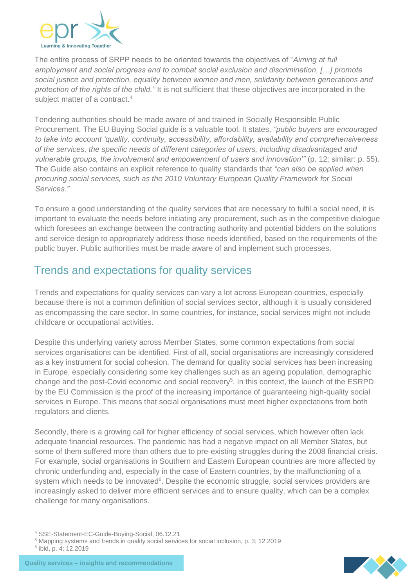

The entire process of SRPP needs to be oriented towards the objectives of "*Aiming at full employment and social progress and to combat social exclusion and discrimination, […] promote social justice and protection, equality between women and men, solidarity between generations and protection of the rights of the child."* It is not sufficient that these objectives are incorporated in the subject matter of a contract.<sup>4</sup>

Tendering authorities should be made aware of and trained in Socially Responsible Public Procurement. The EU Buying Social guide is a valuable tool. It states, *"public buyers are encouraged to take into account 'quality, continuity, accessibility, affordability, availability and comprehensiveness of the services, the specific needs of different categories of users, including disadvantaged and vulnerable groups, the involvement and empowerment of users and innovation'"* (p. 12; similar: p. 55). The Guide also contains an explicit reference to quality standards that *"can also be applied when procuring social services, such as the 2010 Voluntary European Quality Framework for Social Services."*

To ensure a good understanding of the quality services that are necessary to fulfil a social need, it is important to evaluate the needs before initiating any procurement, such as in the competitive dialogue which foresees an exchange between the contracting authority and potential bidders on the solutions and service design to appropriately address those needs identified, based on the requirements of the public buyer. Public authorities must be made aware of and implement such processes.

# Trends and expectations for quality services

Trends and expectations for quality services can vary a lot across European countries, especially because there is not a common definition of social services sector, although it is usually considered as encompassing the care sector. In some countries, for instance, social services might not include childcare or occupational activities.

Despite this underlying variety across Member States, some common expectations from social services organisations can be identified. First of all, social organisations are increasingly considered as a key instrument for social cohesion. The demand for quality social services has been increasing in Europe, especially considering some key challenges such as an ageing population, demographic change and the post-Covid economic and social recovery<sup>5</sup>. In this context, the launch of the ESRPD by the EU Commission is the proof of the increasing importance of guaranteeing high-quality social services in Europe. This means that social organisations must meet higher expectations from both regulators and clients.

Secondly, there is a growing call for higher efficiency of social services, which however often lack adequate financial resources. The pandemic has had a negative impact on all Member States, but some of them suffered more than others due to pre-existing struggles during the 2008 financial crisis. For example, social organisations in Southern and Eastern European countries are more affected by chronic underfunding and, especially in the case of Eastern countries, by the malfunctioning of a system which needs to be innovated<sup>6</sup>. Despite the economic struggle, social services providers are increasingly asked to deliver more efficient services and to ensure quality, which can be a complex challenge for many organisations.



<sup>4</sup> SSE-Statement-EC-Guide-Buying-Social; 06.12.21

<sup>5</sup> Mapping systems and trends in quality social services for social inclusion, p. 3; 12.2019 6 ibid, p. 4; 12.2019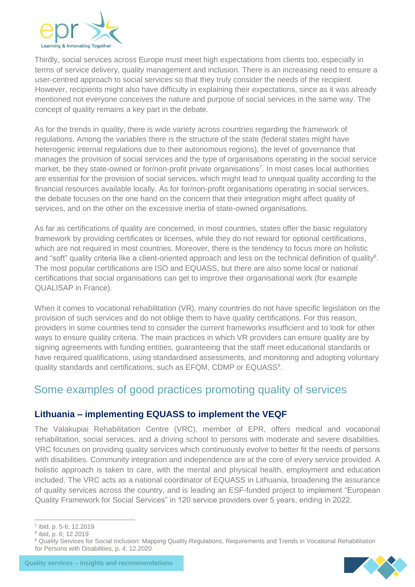

Thirdly, social services across Europe must meet high expectations from clients too, especially in terms of service delivery, quality management and inclusion. There is an increasing need to ensure a user-centred approach to social services so that they truly consider the needs of the recipient. However, recipients might also have difficulty in explaining their expectations, since as it was already mentioned not everyone conceives the nature and purpose of social services in the same way. The concept of quality remains a key part in the debate.

As for the trends in quality, there is wide variety across countries regarding the framework of regulations. Among the variables there is the structure of the state (federal states might have heterogenic internal regulations due to their autonomous regions), the level of governance that manages the provision of social services and the type of organisations operating in the social service market, be they state-owned or for/non-profit private organisations<sup>7</sup>. In most cases local authorities are essential for the provision of social services, which might lead to unequal quality according to the financial resources available locally. As for for/non-profit organisations operating in social services, the debate focuses on the one hand on the concern that their integration might affect quality of services, and on the other on the excessive inertia of state-owned organisations.

As far as certifications of quality are concerned, in most countries, states offer the basic regulatory framework by providing certificates or licenses, while they do not reward for optional certifications, which are not required in most countries. Moreover, there is the tendency to focus more on holistic and "soft" quality criteria like a client-oriented approach and less on the technical definition of quality<sup>8</sup>. The most popular certifications are ISO and EQUASS, but there are also some local or national certifications that social organisations can get to improve their organisational work (for example QUALISAP in France).

When it comes to vocational rehabilitation (VR), many countries do not have specific legislation on the provision of such services and do not oblige them to have quality certifications. For this reason, providers in some countries tend to consider the current frameworks insufficient and to look for other ways to ensure quality criteria. The main practices in which VR providers can ensure quality are by signing agreements with funding entities, guaranteeing that the staff meet educational standards or have required qualifications, using standardised assessments, and monitoring and adopting voluntary quality standards and certifications, such as EFQM, CDMP or EQUASS<sup>9</sup>.

## Some examples of good practices promoting quality of services

### **Lithuania – implementing EQUASS to implement the VEQF**

The Valakupiai Rehabilitation Centre (VRC), member of EPR, offers medical and vocational rehabilitation, social services, and a driving school to persons with moderate and severe disabilities. VRC focuses on providing quality services which continuously evolve to better fit the needs of persons with disabilities. Community integration and independence are at the core of every service provided. A holistic approach is taken to care, with the mental and physical health, employment and education included. The VRC acts as a national coordinator of EQUASS in Lithuania, broadening the assurance of quality services across the country, and is leading an ESF-funded project to implement "European Quality Framework for Social Services" in 120 service providers over 5 years, ending in 2022.



<sup>7</sup> ibid, p. 5-6; 12.2019

<sup>8</sup> ibid, p. 6; 12.2019

<sup>&</sup>lt;sup>9</sup> Quality Services for Social Inclusion: Mapping Quality Regulations, Requirements and Trends in Vocational Rehabilitation for Persons with Disabilities, p. 4; 12.2020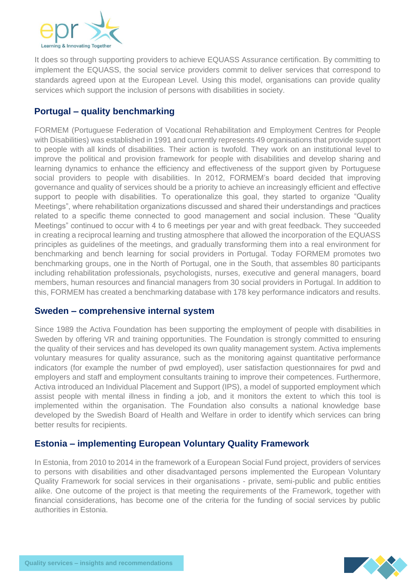

It does so through supporting providers to achieve EQUASS Assurance certification. By committing to implement the EQUASS, the social service providers commit to deliver services that correspond to standards agreed upon at the European Level. Using this model, organisations can provide quality services which support the inclusion of persons with disabilities in society.

### **Portugal – quality benchmarking**

FORMEM (Portuguese Federation of Vocational Rehabilitation and Employment Centres for People with Disabilities) was established in 1991 and currently represents 49 organisations that provide support to people with all kinds of disabilities. Their action is twofold. They work on an institutional level to improve the political and provision framework for people with disabilities and develop sharing and learning dynamics to enhance the efficiency and effectiveness of the support given by Portuguese social providers to people with disabilities. In 2012, FORMEM's board decided that improving governance and quality of services should be a priority to achieve an increasingly efficient and effective support to people with disabilities. To operationalize this goal, they started to organize "Quality Meetings", where rehabilitation organizations discussed and shared their understandings and practices related to a specific theme connected to good management and social inclusion. These "Quality Meetings" continued to occur with 4 to 6 meetings per year and with great feedback. They succeeded in creating a reciprocal learning and trusting atmosphere that allowed the incorporation of the EQUASS principles as guidelines of the meetings, and gradually transforming them into a real environment for benchmarking and bench learning for social providers in Portugal. Today FORMEM promotes two benchmarking groups, one in the North of Portugal, one in the South, that assembles 80 participants including rehabilitation professionals, psychologists, nurses, executive and general managers, board members, human resources and financial managers from 30 social providers in Portugal. In addition to this, FORMEM has created a benchmarking database with 178 key performance indicators and results.

### **Sweden – comprehensive internal system**

Since 1989 the Activa Foundation has been supporting the employment of people with disabilities in Sweden by offering VR and training opportunities. The Foundation is strongly committed to ensuring the quality of their services and has developed its own quality management system. Activa implements voluntary measures for quality assurance, such as the monitoring against quantitative performance indicators (for example the number of pwd employed), user satisfaction questionnaires for pwd and employers and staff and employment consultants training to improve their competences. Furthermore, Activa introduced an Individual Placement and Support (IPS), a model of supported employment which assist people with mental illness in finding a job, and it monitors the extent to which this tool is implemented within the organisation. The Foundation also consults a national knowledge base developed by the Swedish Board of Health and Welfare in order to identify which services can bring better results for recipients.

### **Estonia – implementing European Voluntary Quality Framework**

In Estonia, from 2010 to 2014 in the framework of a European Social Fund project, providers of services to persons with disabilities and other disadvantaged persons implemented the European Voluntary Quality Framework for social services in their organisations - private, semi-public and public entities alike. One outcome of the project is that meeting the requirements of the Framework, together with financial considerations, has become one of the criteria for the funding of social services by public authorities in Estonia.

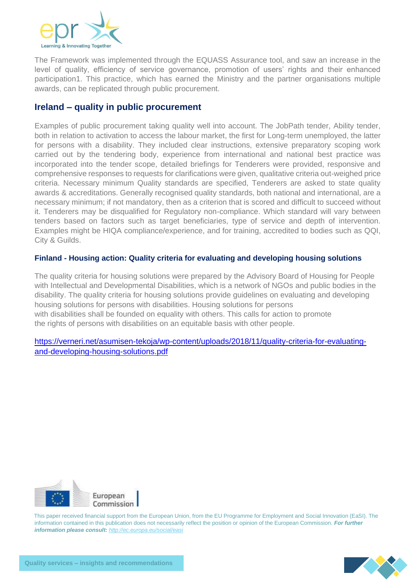

The Framework was implemented through the EQUASS Assurance tool, and saw an increase in the level of quality, efficiency of service governance, promotion of users' rights and their enhanced participation1. This practice, which has earned the Ministry and the partner organisations multiple awards, can be replicated through public procurement.

#### **Ireland – quality in public procurement**

Examples of public procurement taking quality well into account. The JobPath tender, Ability tender, both in relation to activation to access the labour market, the first for Long-term unemployed, the latter for persons with a disability. They included clear instructions, extensive preparatory scoping work carried out by the tendering body, experience from international and national best practice was incorporated into the tender scope, detailed briefings for Tenderers were provided, responsive and comprehensive responses to requests for clarifications were given, qualitative criteria out-weighed price criteria. Necessary minimum Quality standards are specified, Tenderers are asked to state quality awards & accreditations. Generally recognised quality standards, both national and international, are a necessary minimum; if not mandatory, then as a criterion that is scored and difficult to succeed without it. Tenderers may be disqualified for Regulatory non-compliance. Which standard will vary between tenders based on factors such as target beneficiaries, type of service and depth of intervention. Examples might be HIQA compliance/experience, and for training, accredited to bodies such as QQI, City & Guilds.

#### **Finland - Housing action: Quality criteria for evaluating and developing housing solutions**

The quality criteria for housing solutions were prepared by the Advisory Board of Housing for People with Intellectual and Developmental Disabilities, which is a network of NGOs and public bodies in the disability. The quality criteria for housing solutions provide guidelines on evaluating and developing housing solutions for persons with disabilities. Housing solutions for persons with disabilities shall be founded on equality with others. This calls for action to promote the rights of persons with disabilities on an equitable basis with other people.

[https://verneri.net/asumisen-tekoja/wp-content/uploads/2018/11/quality-criteria-for-evaluating](https://verneri.net/asumisen-tekoja/wp-content/uploads/2018/11/quality-criteria-for-evaluating-and-developing-housing-solutions.pdf)[and-developing-housing-solutions.pdf](https://verneri.net/asumisen-tekoja/wp-content/uploads/2018/11/quality-criteria-for-evaluating-and-developing-housing-solutions.pdf)



This paper received financial support from the European Union, from the EU Programme for Employment and Social Innovation (EaSI). The information contained in this publication does not necessarily reflect the position or opinion of the European Commission. *For further information please consult[:](http://ec.europa.eu/social/easi) <http://ec.europa.eu/social/easi>*